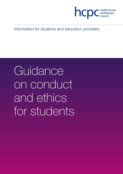

Information for students and education providers

# **Guidance** on conduct and ethics for students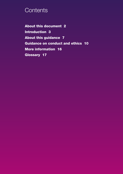# **Contents**

**About this document 2 Introduction 3 About this guidance 7 Guidance on conduct and ethics 10 More information 16 Glossary 17**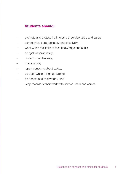# **Students should:**

- promote and protect the interests of service users and carers;
- communicate appropriately and effectively;
- work within the limits of their knowledge and skills;
- delegate appropriately;
- respect confidentiality;
- manage risk;
- report concerns about safety;
- be open when things go wrong;
- be honest and trustworthy; and
- keep records of their work with service users and carers.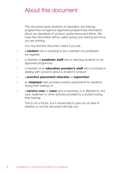# About this document

This document gives students on education and training programmes we approve (approved programmes) information about our standards of conduct, performance and ethics. We hope this information will be useful during your training and once you are working.

You may find this document useful if you are:

- a **student** who is studying to be a member of a profession we regulate:
- a member of **academic staff** who is teaching students on an approved programme;
- a member of an **education provider's staff** who is involved in dealing with concerns about a student's conduct;
- a **practice placement educator** or **supervisor**;
- an **employer** who provides practice placements for students during their training; or
- a **service user** or **carer** who is receiving, or is affected by, any care, treatment or other services provided by a student during their training.

This is not a full list, but it should help to give you an idea of whether or not this document will help you.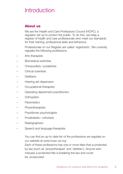# **Introduction**

# **About us**

We are the Health and Care Professions Council (HCPC), a regulator set up to protect the public. To do this, we keep a register of health and care professionals who meet our standards for their training, professional skills and behaviour.

Professionals on our Register are called 'registrants'. We currently regulate the following professions.

- Arts therapists
- Biomedical scientists
- Chiropodists / podiatrists
- Clinical scientists
- Dietitians
- Hearing aid dispensers
- Occupational therapists
- Operating department practitioners
- Orthoptists
- Paramedics
- Physiotherapists
- Practitioner psychologists
- Prosthetists / orthotists
- Radiographers
- Speech and language therapists

You can find an up-to-date list of the professions we regulate on our website at www.hcpc-uk.org Each of these professions has one or more titles that is protected by law (such as 'physiotherapist' and 'dietitian'). Anyone who misuses a protected title is breaking the law and could be prosecuted.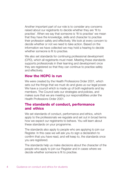Another important part of our role is to consider any concerns raised about our registrants to decide whether they are 'fit to practise'. When we say that someone is 'fit to practise' we mean that they have the knowledge, skills and character to practise their profession safely and effectively. We look at every concern to decide whether or not we need to take action. Based on the information we have collected we may hold a hearing to decide whether someone is fit to practise.

We also set standards for continuing professional development (CPD), which all registrants must meet. Meeting these standards supports professionals in their learning and development once they are registered so that they can continue to practise safely and effectively.

### **How the HCPC is run**

We were created by the Health Professions Order 2001, which sets out the things that we must do and gives us our legal power. We have a council which is made up of both registrants and lay members. The Council sets our strategies and policies, and makes sure that we are meeting our responsibilities under the Health Professions Order 2001.

### **The standards of conduct, performance and ethics**

We set standards of conduct, performance and ethics, which apply to the professionals we regulate and set out in broad terms how we expect our registrants to behave. You will learn about these standards on your programme.

The standards also apply to people who are applying to join our Register. In this case we will ask you to sign a declaration to confirm that you have read, and will keep to, the standards once you are registered.

The standards help us make decisions about the character of the people who apply to join our Register and in cases where we decide whether someone is fit to practise.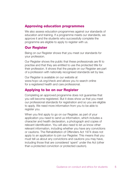## **Approving education programmes**

We also assess education programmes against our standards of education and training. If a programme meets our standards, we approve it and the students who successfully complete the programme are eligible to apply to register with us.

### **Our Register**

Being on our Register shows that you meet our standards for your profession.

Our Register shows the public that these professionals are fit to practise and that they are entitled to use the protected title for their profession. It shows that the people on our Register are part of a profession with nationally recognised standards set by law.

Our Register is available on our website at www.hcpc-uk.org/check and allows you to search online for a registered health and care professional.

### **Applying to be on our Register**

Completing an approved programme does not guarantee that you will become registered. But it does show us that you meet our professional standards for registration and so you are eligible to apply. We need more information from you to be able to register you.

When you first apply to go on our Register, as part of your application you need to send us information, which includes a character and health declaration, a photograph and copies of relevant identification. You will also need to let us know other relevant information, including whether you have any convictions or cautions. The Rehabilitation of Offenders Act 1974 does not apply to an application to join our Register. This means that you must tell us about any convictions and cautions you may have, including those that are considered 'spent' under the Act (other than a protected conviction or protected caution).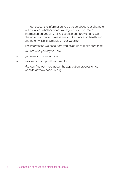In most cases, the information you give us about your character will not affect whether or not we register you. For more information on applying for registration and providing relevant character information, please see our Guidance on health and character which is available on our website.

The information we need from you helps us to make sure that:

- you are who you say you are;
- you meet our standards; and
- we can contact you if we need to.

You can find out more about the application process on our website at www.hcpc-uk.org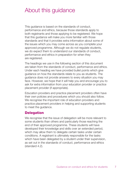# About this guidance

This guidance is based on the standards of conduct, performance and ethics, because those standards apply to both registrants and those applying to be registered. We hope that this guidance will make you more familiar with those standards and that it provides extra information about some of the issues which you may come across as you complete your approved programme. Although we do not regulate students, we do expect them to understand our standards of conduct. performance and ethics in preparation for when they are registered.

The headings we use in the following section of this document are taken from the standards of conduct, performance and ethics. Under each heading we have provided bullet points which give guidance on how the standards relate to you as students. The guidance does not provide answers to every situation you may face. However, we hope that it will help you and encourage you to ask for extra information from your education provider or practice placement provider (if appropriate).

Education providers and practice placement providers often have their own policies and procedures which you should also follow. We recognise the important role of education providers and practice placement providers in helping and supporting students to meet the guidance.

### **Delegation**

We recognise that the issue of delegation will be more relevant to some students than others and particularly those reaching the end of their approved programme. These students will have developed their knowledge and skills over an extended period, which may allow them to delegate certain tasks under certain conditions. A registrant is ultimately responsible for the tasks which have been delegated by a student under their supervision. as set out in the standards of conduct, performance and ethics (standard 4.2).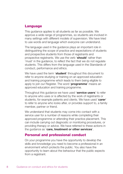### **Language**

This guidance applies to all students as far as possible. We approve a wide range of programmes, so students are involved in many settings with different models of supervision. We have tried to use words and language which everyone can understand.

The language used in the guidance plays an important role in distinguishing the scope of practice and expectations of students and prospective students from those of registrants and prospective registrants. We use the verb '**should**' rather than 'must' in the guidance, to reflect the fact that we do not regulate students. This differs from the language used in the Standards of conduct, performance and ethics.

We have used the term '**student**' throughout this document to refer to anyone studying or training on an approved education and training programme which leads to them being eligible to apply to join our Register. The word '**programme**' means an approved education and training programme.

Throughout this guidance we have used '**service users**' to refer to anyone who uses or is affected by the work of registrants or students, for example patients and clients. We have used '**carer**' to refer to anyone who looks after, or provides support to, a family member, partner or friend.

We understand that students may come into contact with a service user for a number of reasons while completing their approved programme or attending their practice placement. This can include carrying out diagnostic or monitoring procedures, or providing therapy or advice. We have referred to these actions in the guidance as '**care, treatment or other services**'.

### **Personal and professional conduct**

On your programme you have the opportunity to develop the skills and knowledge you need to become a professional in an environment which protects the public. You also have the opportunity to learn about the behaviour that the public expects from a registrant.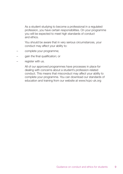As a student studying to become a professional in a regulated profession, you have certain responsibilities. On your programme you will be expected to meet high standards of conduct and ethics.

You should be aware that in very serious circumstances, your conduct may affect your ability to:

- complete your programme;
- gain the final qualification; or
- register with us.

All of our approved programmes have processes in place for dealing with concerns about a student's profession-related conduct. This means that misconduct may affect your ability to complete your programme. You can download our standards of education and training from our website at www.hcpc-uk.org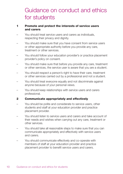# Guidance on conduct and ethics for students

### **1 Promote and protect the interests of service users and carers**

- You should treat service users and carers as individuals, respecting their privacy and dignity.
- You should make sure that you have consent from service users or other appropriate authority before you provide any care, treatment or other services.
- You should follow your education provider's or practice placement provider's policy on consent.
- You should make sure that before you provide any care, treatment or other services, the service user is aware that you are a student.
- You should respect a person's right to have their care, treatment or other services carried out by a professional and not a student.
- You should treat everyone equally and not discriminate against anyone because of your personal views.
- You should keep relationships with service users and carers professional.

### **2 Communicate appropriately and effectively**

- You should be polite and considerate to service users, other students and staff at your education provider and practice placement provider.
- You should listen to service users and carers and take account of their needs and wishes when carrying out any care, treatment or other services.
- You should take all reasonable steps to make sure that you can communicate appropriately and effectively with service users and carers.
- You should communicate effectively and co-operate with members of staff at your education provider and practice placement provider to benefit service users and carers.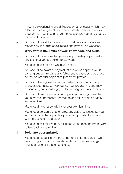- If you are experiencing any difficulties or other issues which may affect your learning or ability to successfully participate in your programme, you should tell your education provider and practice placement provider.
- You should use all forms of communication appropriately and responsibly, including social media and networking websites.
- **3 Work within the limits of your knowledge and skills**
- You should make sure that you are appropriately supervised for any task that you are asked to carry out.
- You should ask for help when you need it.
- You should be aware of any restrictions which apply to you in carrying out certain tasks and follow any relevant policies of your education provider or practice placement provider.
- You should recognise that opportunities for carrying out any unsupervised tasks will vary during your programme and may depend on your knowledge, understanding, skills and experience.
- You should only carry out an unsupervised task if you feel that you have the appropriate knowledge and skills to do so safely and effectively.
- You should take responsibility for your own learning.
- You should be aware of and follow any guidance issued by your education provider or practice placement provider for working with service users and carers.
- You should ask for, listen to, think about and respond proactively to feedback you are given.

### **4 Delegate appropriately**

You should recognise that the opportunities for delegation will vary during your programme depending on your knowledge, understanding, skills and experience.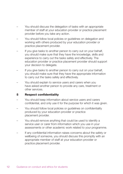- You should discuss the delegation of tasks with an appropriate member of staff at your education provider or practice placement provider before you take any action.
- You should follow local policies or guidelines on delegation and working with others produced by your education provider or practice placement provider.
- If you give tasks to another person to carry out on your behalf. you should make sure that they have the knowledge, skills and experience to carry out the tasks safely and effectively. The education provider or practice placement provider should support your decision to delegate.
- If you give tasks to another person to carry out on your behalf, you should make sure that they have the appropriate information to carry out the tasks safely and effectively.
- You should explain to service users and carers when you have asked another person to provide any care, treatment or other services.

### **5 Respect confidentiality**

- You should keep information about service users and carers confidential, and only use it for the purpose for which it was given.
- You should follow local policies or guidelines on confidentiality produced by your education provider or practice placement provider.
- You should remove anything that could be used to identify a service user or carer from information which you use in your assessments or other academic work related to your programme.
- If any confidential information raises concerns about the safety or wellbeing of someone, you should discuss this promptly with an appropriate member of staff at your education provider or practice placement provider.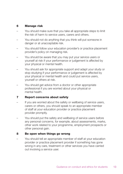### **6 Manage risk**

- You should make sure that you take all appropriate steps to limit the risk of harm to service users, carers and others.
- You should not do anything that you think will put someone in danger or at unacceptable risk.
- You should follow your education provider's or practice placement provider's policy on managing risk.
- You should be aware that you may put your service users or yourself at risk if your performance or judgement is affected by your physical or mental health.
- You should ask for appropriate support and adapt your study or stop studying if your performance or judgement is affected by your physical or mental health and could put service users, yourself or others at risk.
- You should get advice from a doctor or other appropriate professional if you are worried about your physical or mental health.

### **7 Report concerns about safety**

- If you are worried about the safety or wellbeing of service users, carers or others, you should speak to an appropriate member of staff at your education provider or practice placement provider promptly.
- You should put the safety and wellbeing of service users before any personal concerns, for example, about assessments, marks, other work related to your programme, employment prospects or other personal gain.

#### **8 Be open when things go wrong**

– You should tell an appropriate member of staff at your education provider or practice placement provider if something has gone wrong in any care, treatment or other services you have carried out involving a service user.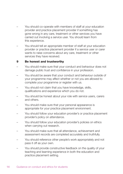- You should co-operate with members of staff at your education provider and practice placement provider if something has gone wrong in any care, treatment or other services you have carried out involving a service user. You should learn from this experience.
- You should tell an appropriate member of staff at your education provider or practice placement provider if a service user or carer wants to raise concerns about any care, treatment or other services they have received.

#### **9 Be honest and trustworthy**

- You should make sure that your conduct and behaviour does not damage public trust and confidence in your profession.
- You should be aware that your conduct and behaviour outside of your programme may affect whether or not you are allowed to complete your programme or register with us.
- You should not claim that you have knowledge, skills, qualifications and experience which you do not.
- You should be honest about your role with service users, carers and others.
- You should make sure that your personal appearance is appropriate for your practice placement environment.
- You should follow your education provider's or practice placement provider's policy on attendance.
- You should follow your education provider's policies on ethics when carrying out research.
- You should make sure that all attendance, achievement and assessment records are completed accurately and truthfully.
- You should reference other people's work appropriately and not pass it off as your own.
- You should provide constructive feedback on the quality of your teaching and learning experience in both the education and practice placement setting.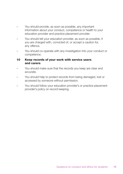- You should provide, as soon as possible, any important information about your conduct, competence or health to your education provider and practice placement provider.
- You should tell your education provider, as soon as possible, if you are charged with, convicted of, or accept a caution for, any offence.
- You should co-operate with any investigation into your conduct or competence.

### **10 Keep records of your work with service users and carers**

- You should make sure that the records you keep are clear and accurate.
- You should help to protect records from being damaged, lost or accessed by someone without permission.
- You should follow your education provider's or practice placement provider's policy on record keeping.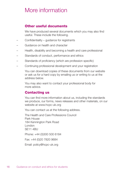# More information

## **Other useful documents**

We have produced several documents which you may also find useful. These include the following.

- Confidentiality guidance for registrants
- Guidance on health and character
- Health, disability and becoming a health and care professional
- Standards of conduct, performance and ethics
- Standards of proficiency (which are profession specific)
- Continuing professional development and your registration

You can download copies of these documents from our website or ask us for a hard copy by emailing us or writing to us at the address below.

You may also want to contact your professional body for more advice.

### **Contacting us**

You can find more information about us, including the standards we produce, our forms, news releases and other materials, on our website at www.hcpc-uk.org

You can contact us at the following address.

The Health and Care Professions Council Park House 184 Kennington Park Road London SE11 4BU

Phone: +44 (0)300 500 6184

Fax: +44 (0)20 7820 9684

Email: policy@hcpc-uk.org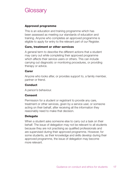# **Glossary**

### **Approved programme**

This is an education and training programme which has been assessed as meeting our standards of education and training. Anyone who completes an approved programme is eligible to apply for entry to the relevant part of our Register.

### **Care, treatment or other services**

A general term to describe the different actions that a student may carry out while completing their approved programme which affects their service users or others. This can include carrying out diagnostic or monitoring procedures, or providing therapy or advice.

#### **Carer**

Anyone who looks after, or provides support to, a family member, partner or friend.

### **Conduct**

A person's behaviour.

### **Consent**

Permission for a student or registrant to provide any care, treatment or other services, given by a service user, or someone acting on their behalf, after receiving all the information they reasonably need to make that decision.

### **Delegate**

When a student asks someone else to carry out a task on their behalf. The issue of delegation may not be relevant to all students because they are not practising as qualified professionals and are supervised during their approved programme. However, for some students, as their knowledge and skills develop during their approved programme, the issue of delegation may become more relevant.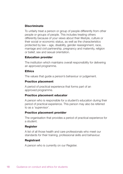### **Discriminate**

To unfairly treat a person or group of people differently from other people or groups of people. This includes treating others differently because of your views about their lifestyle, culture or their social or economic status, as well as the characteristics protected by law – age, disability, gender reassignment, race, marriage and civil partnership, pregnancy and maternity, religion or belief, sex and sexual orientation.

### **Education provider**

The institution which maintains overall responsibility for delivering an approved programme.

### **Ethics**

The values that guide a person's behaviour or judgement.

### **Practice placement**

A period of practical experience that forms part of an approved programme.

### **Practice placement educator**

A person who is responsible for a student's education during their period of practical experience. This person may also be referred to as a 'supervisor'.

### **Practice placement provider**

The organisation that provides a period of practical experience for a student.

### **Register**

A list of all those health and care professionals who meet our standards for their training, professional skills and behaviour.

### **Registrant**

A person who is currently on our Register.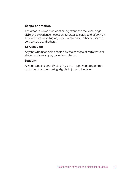### **Scope of practice**

The areas in which a student or registrant has the knowledge, skills and experience necessary to practise safely and effectively. This includes providing any care, treatment or other services to service users and others.

### **Service user**

Anyone who uses or is affected by the services of registrants or students, for example, patients or clients.

### **Student**

Anyone who is currently studying on an approved programme which leads to them being eligible to join our Register.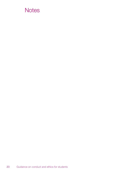# **Notes**